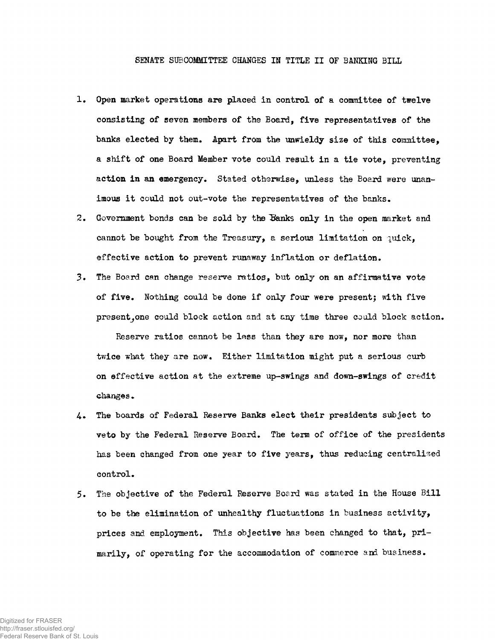## SENATE SUBCOMMITTEE CHANGES IN TITLE II OF BANKING BILL

- 1. Open market operations are placed in control of a committee of twelve consisting of seven members of the Board, five representatives of the banks elected by them. Apart from the unwieldy size of this committee. a shift of one Board Member vote could result in a tie vote, preventing action in an emergency. Stated otherwise, unless the Board were unanimous it could not out-vote the representatives of the banks.
- 2. Government bonds can be sold by the Banks only in the open market and cannot be bought from the Treasury, a serious limitation on  $\eta$ uick, effective action to prevent runaway inflation or deflation.
- 3. The Board can change reserve ratios, but only on an affirmative vote of five. Nothing could be done if only four were present; with five present, one could block action and at any time three could block action.

Reserve ratios cannot be less than they are now, nor more than twice what they are now. Either limitation might put a serious curb on effective action at the extreme up-swings and down-swings of credit changes.

- 4. The boards of Federal Reserve Banks elect their presidents subject to veto by the Federal Reserve Board. The term of office of the presidents has been changed from one year to five years, thus reducing centralized control.
- 5. The objective of the Federal Reserve Board was stated in the House Bill to be the elimination of unhealthy fluctuations in business activity, prices and employment. This objective has been changed to that, primarily, of operating for the accommodation of commerce and business.